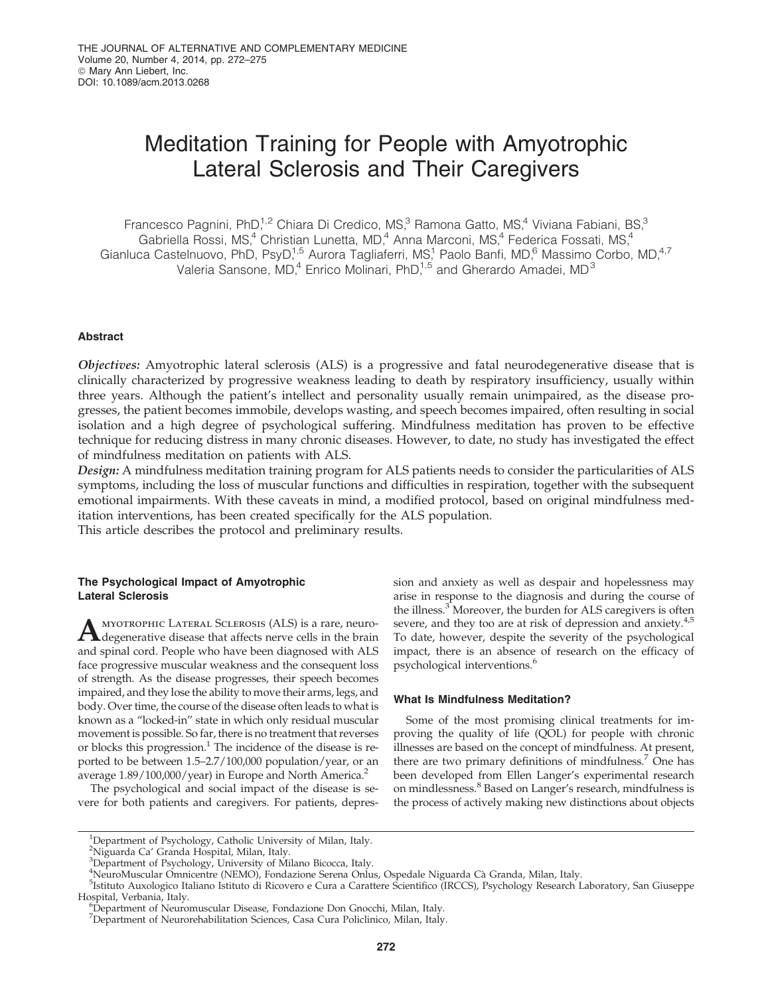# Meditation Training for People with Amyotrophic Lateral Sclerosis and Their Caregivers

Francesco Pagnini, PhD,<sup>1,2</sup> Chiara Di Credico, MS,<sup>3</sup> Ramona Gatto, MS,<sup>4</sup> Viviana Fabiani, BS,<sup>3</sup> Gabriella Rossi, MS,<sup>4</sup> Christian Lunetta, MD,<sup>4</sup> Anna Marconi, MS,<sup>4</sup> Federica Fossati, MS,<sup>4</sup> Gianluca Castelnuovo, PhD, PsyD,<sup>1,5</sup> Aurora Tagliaferri, MS,<sup>1</sup> Paolo Banfi, MD,<sup>6</sup> Massimo Corbo, MD,<sup>4,7</sup> Valeria Sansone, MD,<sup>4</sup> Enrico Molinari, PhD,<sup>1,5</sup> and Gherardo Amadei, MD<sup>3</sup>

# Abstract

Objectives: Amyotrophic lateral sclerosis (ALS) is a progressive and fatal neurodegenerative disease that is clinically characterized by progressive weakness leading to death by respiratory insufficiency, usually within three years. Although the patient's intellect and personality usually remain unimpaired, as the disease progresses, the patient becomes immobile, develops wasting, and speech becomes impaired, often resulting in social isolation and a high degree of psychological suffering. Mindfulness meditation has proven to be effective technique for reducing distress in many chronic diseases. However, to date, no study has investigated the effect of mindfulness meditation on patients with ALS.

Design: A mindfulness meditation training program for ALS patients needs to consider the particularities of ALS symptoms, including the loss of muscular functions and difficulties in respiration, together with the subsequent emotional impairments. With these caveats in mind, a modified protocol, based on original mindfulness meditation interventions, has been created specifically for the ALS population.

This article describes the protocol and preliminary results.

# The Psychological Impact of Amyotrophic Lateral Sclerosis

AMYOTROPHIC LATERAL SCLEROSIS (ALS) is a rare, neuro-<br>degenerative disease that affects nerve cells in the brain and spinal cord. People who have been diagnosed with ALS face progressive muscular weakness and the consequent loss of strength. As the disease progresses, their speech becomes impaired, and they lose the ability to move their arms, legs, and body. Over time, the course of the disease often leads to what is known as a ''locked-in'' state in which only residual muscular movement is possible. So far, there is no treatment that reverses or blocks this progression. $<sup>1</sup>$  The incidence of the disease is re-</sup> ported to be between 1.5–2.7/100,000 population/year, or an average 1.89/100,000/year) in Europe and North America.<sup>2</sup>

The psychological and social impact of the disease is severe for both patients and caregivers. For patients, depression and anxiety as well as despair and hopelessness may arise in response to the diagnosis and during the course of the illness.<sup>3</sup> Moreover, the burden for ALS caregivers is often severe, and they too are at risk of depression and anxiety. $4.5$ To date, however, despite the severity of the psychological impact, there is an absence of research on the efficacy of psychological interventions.<sup>6</sup>

## What Is Mindfulness Meditation?

Some of the most promising clinical treatments for improving the quality of life (QOL) for people with chronic illnesses are based on the concept of mindfulness. At present, there are two primary definitions of mindfulness.<sup>7</sup> One has been developed from Ellen Langer's experimental research on mindlessness.<sup>8</sup> Based on Langer's research, mindfulness is the process of actively making new distinctions about objects

<sup>&</sup>lt;sup>1</sup>Department of Psychology, Catholic University of Milan, Italy.

<sup>2</sup> Niguarda Ca' Granda Hospital, Milan, Italy.

<sup>&</sup>lt;sup>3</sup>Department of Psychology, University of Milano Bicocca, Italy.

<sup>&</sup>lt;sup>4</sup>NeuroMuscular Omnicentre (NEMO), Fondazione Serena Onlus, Ospedale Niguarda Cà Granda, Milan, Italy.<br><sup>5</sup>Istituto Auxologico Italiano Istituto di Ricovero e Cura a Carattere Scientifico (IRCCS), Psychology Research I

<sup>&</sup>lt;sup>5</sup>Istituto Auxologico Italiano Istituto di Ricovero e Cura a Carattere Scientifico (IRCCS), Psychology Research Laboratory, San Giuseppe Hospital, Verbania, Italy. <sup>6</sup>

Department of Neuromuscular Disease, Fondazione Don Gnocchi, Milan, Italy.

<sup>7</sup> Department of Neurorehabilitation Sciences, Casa Cura Policlinico, Milan, Italy.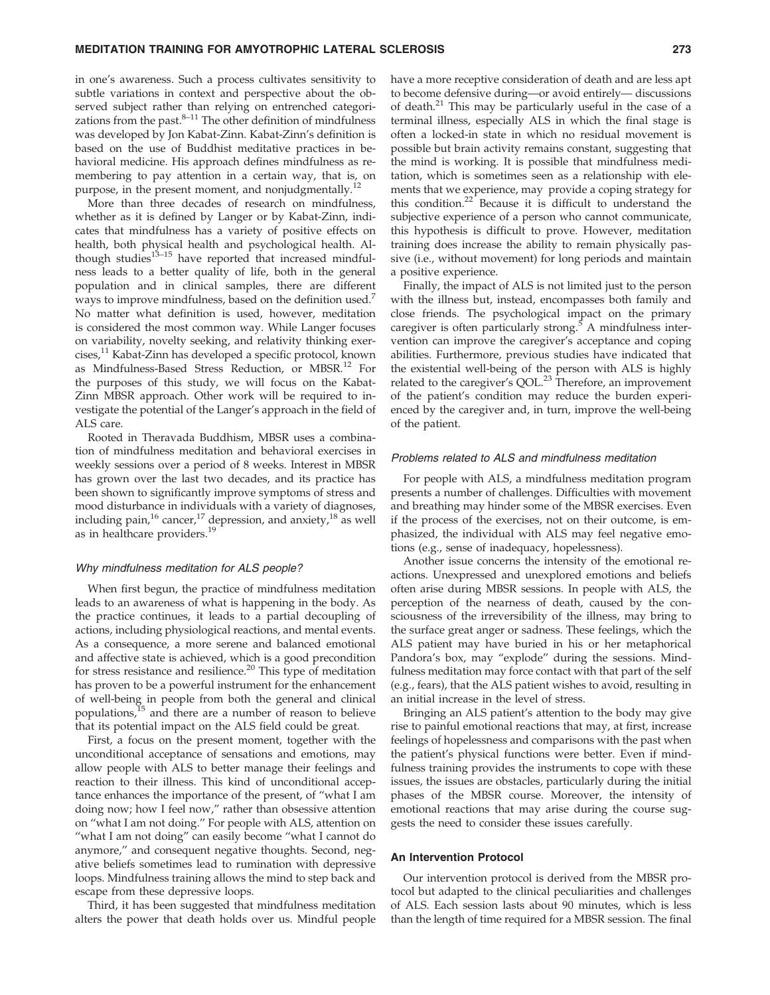in one's awareness. Such a process cultivates sensitivity to subtle variations in context and perspective about the observed subject rather than relying on entrenched categorizations from the past. $8-11$  The other definition of mindfulness was developed by Jon Kabat-Zinn. Kabat-Zinn's definition is based on the use of Buddhist meditative practices in behavioral medicine. His approach defines mindfulness as remembering to pay attention in a certain way, that is, on purpose, in the present moment, and nonjudgmentally.<sup>12</sup>

More than three decades of research on mindfulness, whether as it is defined by Langer or by Kabat-Zinn, indicates that mindfulness has a variety of positive effects on health, both physical health and psychological health. Although studies $13-15$  have reported that increased mindfulness leads to a better quality of life, both in the general population and in clinical samples, there are different ways to improve mindfulness, based on the definition used.<sup>7</sup> No matter what definition is used, however, meditation is considered the most common way. While Langer focuses on variability, novelty seeking, and relativity thinking exercises,<sup>11</sup> Kabat-Zinn has developed a specific protocol, known as Mindfulness-Based Stress Reduction, or MBSR.<sup>12</sup> For the purposes of this study, we will focus on the Kabat-Zinn MBSR approach. Other work will be required to investigate the potential of the Langer's approach in the field of ALS care.

Rooted in Theravada Buddhism, MBSR uses a combination of mindfulness meditation and behavioral exercises in weekly sessions over a period of 8 weeks. Interest in MBSR has grown over the last two decades, and its practice has been shown to significantly improve symptoms of stress and mood disturbance in individuals with a variety of diagnoses, including pain,  $^{16}$  cancer,  $^{17}$  depression, and anxiety,  $^{18}$  as well as in healthcare providers.<sup>19</sup>

#### Why mindfulness meditation for ALS people?

When first begun, the practice of mindfulness meditation leads to an awareness of what is happening in the body. As the practice continues, it leads to a partial decoupling of actions, including physiological reactions, and mental events. As a consequence, a more serene and balanced emotional and affective state is achieved, which is a good precondition for stress resistance and resilience.<sup>20</sup> This type of meditation has proven to be a powerful instrument for the enhancement of well-being in people from both the general and clinical populations,<sup>15</sup> and there are a number of reason to believe that its potential impact on the ALS field could be great.

First, a focus on the present moment, together with the unconditional acceptance of sensations and emotions, may allow people with ALS to better manage their feelings and reaction to their illness. This kind of unconditional acceptance enhances the importance of the present, of ''what I am doing now; how I feel now,'' rather than obsessive attention on ''what I am not doing.'' For people with ALS, attention on "what I am not doing" can easily become "what I cannot do anymore,'' and consequent negative thoughts. Second, negative beliefs sometimes lead to rumination with depressive loops. Mindfulness training allows the mind to step back and escape from these depressive loops.

Third, it has been suggested that mindfulness meditation alters the power that death holds over us. Mindful people

have a more receptive consideration of death and are less apt to become defensive during—or avoid entirely— discussions of death.<sup>21</sup> This may be particularly useful in the case of a terminal illness, especially ALS in which the final stage is often a locked-in state in which no residual movement is possible but brain activity remains constant, suggesting that the mind is working. It is possible that mindfulness meditation, which is sometimes seen as a relationship with elements that we experience, may provide a coping strategy for this condition. $22$ <sup>-</sup> Because it is difficult to understand the subjective experience of a person who cannot communicate, this hypothesis is difficult to prove. However, meditation training does increase the ability to remain physically passive (i.e., without movement) for long periods and maintain a positive experience.

Finally, the impact of ALS is not limited just to the person with the illness but, instead, encompasses both family and close friends. The psychological impact on the primary caregiver is often particularly strong. $5$  A mindfulness intervention can improve the caregiver's acceptance and coping abilities. Furthermore, previous studies have indicated that the existential well-being of the person with ALS is highly related to the caregiver's QOL.<sup>23</sup> Therefore, an improvement of the patient's condition may reduce the burden experienced by the caregiver and, in turn, improve the well-being of the patient.

## Problems related to ALS and mindfulness meditation

For people with ALS, a mindfulness meditation program presents a number of challenges. Difficulties with movement and breathing may hinder some of the MBSR exercises. Even if the process of the exercises, not on their outcome, is emphasized, the individual with ALS may feel negative emotions (e.g., sense of inadequacy, hopelessness).

Another issue concerns the intensity of the emotional reactions. Unexpressed and unexplored emotions and beliefs often arise during MBSR sessions. In people with ALS, the perception of the nearness of death, caused by the consciousness of the irreversibility of the illness, may bring to the surface great anger or sadness. These feelings, which the ALS patient may have buried in his or her metaphorical Pandora's box, may "explode" during the sessions. Mindfulness meditation may force contact with that part of the self (e.g., fears), that the ALS patient wishes to avoid, resulting in an initial increase in the level of stress.

Bringing an ALS patient's attention to the body may give rise to painful emotional reactions that may, at first, increase feelings of hopelessness and comparisons with the past when the patient's physical functions were better. Even if mindfulness training provides the instruments to cope with these issues, the issues are obstacles, particularly during the initial phases of the MBSR course. Moreover, the intensity of emotional reactions that may arise during the course suggests the need to consider these issues carefully.

## An Intervention Protocol

Our intervention protocol is derived from the MBSR protocol but adapted to the clinical peculiarities and challenges of ALS. Each session lasts about 90 minutes, which is less than the length of time required for a MBSR session. The final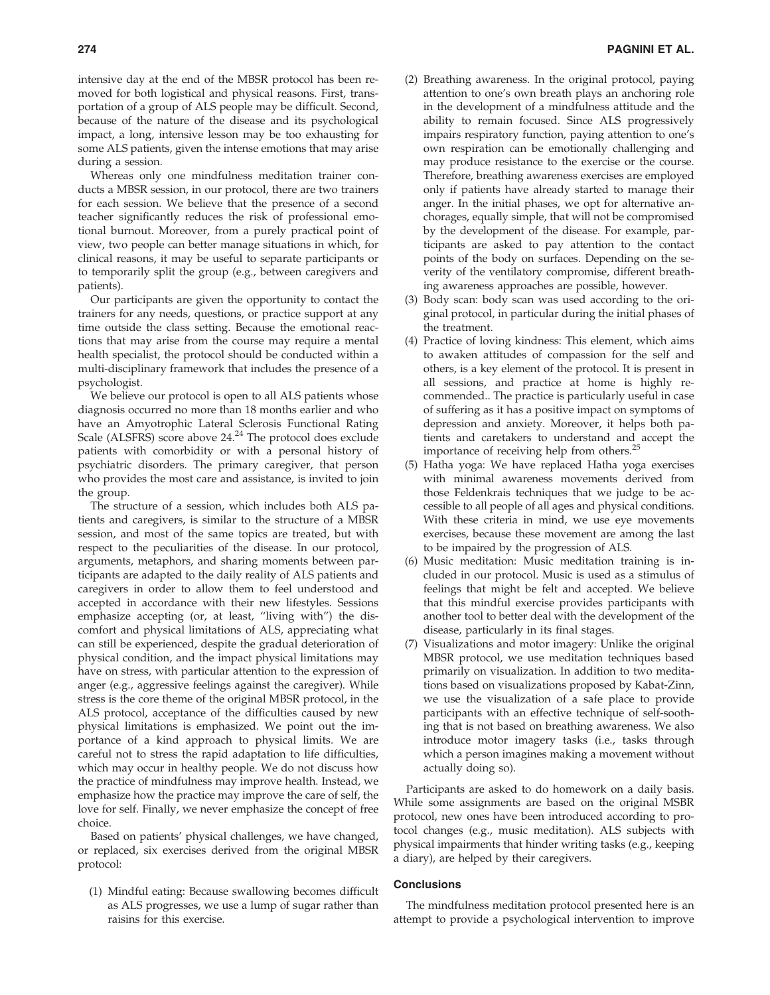intensive day at the end of the MBSR protocol has been removed for both logistical and physical reasons. First, transportation of a group of ALS people may be difficult. Second, because of the nature of the disease and its psychological impact, a long, intensive lesson may be too exhausting for some ALS patients, given the intense emotions that may arise during a session.

Whereas only one mindfulness meditation trainer conducts a MBSR session, in our protocol, there are two trainers for each session. We believe that the presence of a second teacher significantly reduces the risk of professional emotional burnout. Moreover, from a purely practical point of view, two people can better manage situations in which, for clinical reasons, it may be useful to separate participants or to temporarily split the group (e.g., between caregivers and patients).

Our participants are given the opportunity to contact the trainers for any needs, questions, or practice support at any time outside the class setting. Because the emotional reactions that may arise from the course may require a mental health specialist, the protocol should be conducted within a multi-disciplinary framework that includes the presence of a psychologist.

We believe our protocol is open to all ALS patients whose diagnosis occurred no more than 18 months earlier and who have an Amyotrophic Lateral Sclerosis Functional Rating Scale (ALSFRS) score above 24.<sup>24</sup> The protocol does exclude patients with comorbidity or with a personal history of psychiatric disorders. The primary caregiver, that person who provides the most care and assistance, is invited to join the group.

The structure of a session, which includes both ALS patients and caregivers, is similar to the structure of a MBSR session, and most of the same topics are treated, but with respect to the peculiarities of the disease. In our protocol, arguments, metaphors, and sharing moments between participants are adapted to the daily reality of ALS patients and caregivers in order to allow them to feel understood and accepted in accordance with their new lifestyles. Sessions emphasize accepting (or, at least, ''living with'') the discomfort and physical limitations of ALS, appreciating what can still be experienced, despite the gradual deterioration of physical condition, and the impact physical limitations may have on stress, with particular attention to the expression of anger (e.g., aggressive feelings against the caregiver). While stress is the core theme of the original MBSR protocol, in the ALS protocol, acceptance of the difficulties caused by new physical limitations is emphasized. We point out the importance of a kind approach to physical limits. We are careful not to stress the rapid adaptation to life difficulties, which may occur in healthy people. We do not discuss how the practice of mindfulness may improve health. Instead, we emphasize how the practice may improve the care of self, the love for self. Finally, we never emphasize the concept of free choice.

Based on patients' physical challenges, we have changed, or replaced, six exercises derived from the original MBSR protocol:

(1) Mindful eating: Because swallowing becomes difficult as ALS progresses, we use a lump of sugar rather than raisins for this exercise.

- (2) Breathing awareness. In the original protocol, paying attention to one's own breath plays an anchoring role in the development of a mindfulness attitude and the ability to remain focused. Since ALS progressively impairs respiratory function, paying attention to one's own respiration can be emotionally challenging and may produce resistance to the exercise or the course. Therefore, breathing awareness exercises are employed only if patients have already started to manage their anger. In the initial phases, we opt for alternative anchorages, equally simple, that will not be compromised by the development of the disease. For example, participants are asked to pay attention to the contact points of the body on surfaces. Depending on the severity of the ventilatory compromise, different breathing awareness approaches are possible, however.
- (3) Body scan: body scan was used according to the original protocol, in particular during the initial phases of the treatment.
- (4) Practice of loving kindness: This element, which aims to awaken attitudes of compassion for the self and others, is a key element of the protocol. It is present in all sessions, and practice at home is highly recommended.. The practice is particularly useful in case of suffering as it has a positive impact on symptoms of depression and anxiety. Moreover, it helps both patients and caretakers to understand and accept the importance of receiving help from others.<sup>25</sup>
- (5) Hatha yoga: We have replaced Hatha yoga exercises with minimal awareness movements derived from those Feldenkrais techniques that we judge to be accessible to all people of all ages and physical conditions. With these criteria in mind, we use eye movements exercises, because these movement are among the last to be impaired by the progression of ALS.
- (6) Music meditation: Music meditation training is included in our protocol. Music is used as a stimulus of feelings that might be felt and accepted. We believe that this mindful exercise provides participants with another tool to better deal with the development of the disease, particularly in its final stages.
- (7) Visualizations and motor imagery: Unlike the original MBSR protocol, we use meditation techniques based primarily on visualization. In addition to two meditations based on visualizations proposed by Kabat-Zinn, we use the visualization of a safe place to provide participants with an effective technique of self-soothing that is not based on breathing awareness. We also introduce motor imagery tasks (i.e., tasks through which a person imagines making a movement without actually doing so).

Participants are asked to do homework on a daily basis. While some assignments are based on the original MSBR protocol, new ones have been introduced according to protocol changes (e.g., music meditation). ALS subjects with physical impairments that hinder writing tasks (e.g., keeping a diary), are helped by their caregivers.

# **Conclusions**

The mindfulness meditation protocol presented here is an attempt to provide a psychological intervention to improve